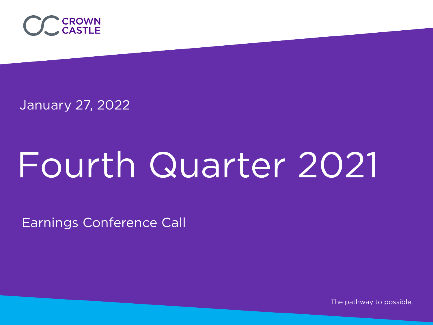

January 27, 2022

# Fourth Quarter 2021

Earnings Conference Call

The pathway to possible.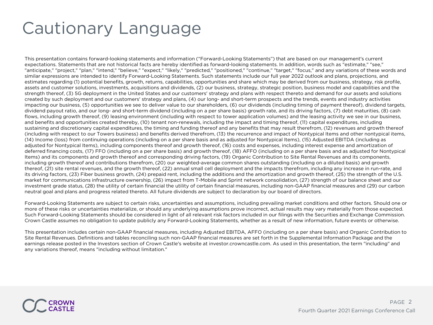### Cautionary Language

This presentation contains forward-looking statements and information ("Forward-Looking Statements") that are based on our management's current expectations. Statements that are not historical facts are hereby identified as forward-looking statements. In addition, words such as "estimate," "see," "anticipate," "project," "plan," "intend," "believe," "expect," "likely," "predicted," "positioned," "continue," "target," "focus," and any variations of these words and similar expressions are intended to identify Forward-Looking Statements. Such statements include our full year 2022 outlook and plans, projections, and estimates regarding (1) potential benefits, growth, returns, capabilities, opportunities and share which may be derived from our business, strategy, risk profile, assets and customer solutions, investments, acquisitions and dividends, (2) our business, strategy, strategic position, business model and capabilities and the strength thereof, (3) 5G deployment in the United States and our customers' strategy and plans with respect thereto and demand for our assets and solutions created by such deployment and our customers' strategy and plans, (4) our long- and short-term prospects and the trends, events and industry activities impacting our business, (5) opportunities we see to deliver value to our shareholders, (6) our dividends (including timing of payment thereof), dividend targets, dividend payout ratio, and our long- and short-term dividend (including on a per share basis) growth rate, and its driving factors, (7) debt maturities, (8) cash flows, including growth thereof, (9) leasing environment (including with respect to tower application volumes) and the leasing activity we see in our business, and benefits and opportunities created thereby, (10) tenant non-renewals, including the impact and timing thereof, (11) capital expenditures, including sustaining and discretionary capital expenditures, the timing and funding thereof and any benefits that may result therefrom, (12) revenues and growth thereof (including with respect to our Towers business) and benefits derived therefrom, (13) the recurrence and impact of Nontypical Items and other nontypical items, (14) Income (loss) from continuing operations (including on a per share basis and as adjusted for Nontypical Items), (15) Adjusted EBITDA (including as adjusted for Nontypical Items), including components thereof and growth thereof, (16) costs and expenses, including interest expense and amortization of deferred financing costs, (17) FFO (including on a per share basis) and growth thereof, (18) AFFO (including on a per share basis and as adjusted for Nontypical Items) and its components and growth thereof and corresponding driving factors, (19) Organic Contribution to Site Rental Revenues and its components, including growth thereof and contributions therefrom, (20) our weighted-average common shares outstanding (including on a diluted basis) and growth thereof, (21) site rental revenues, and the growth thereof, (22) annual small cell deployment and the impacts therefrom, including any increase in run-rate, and its driving factors, (23) Fiber business growth, (24) prepaid rent, including the additions and the amortization and growth thereof, (25) the strength of the U.S. market for communications infrastructure ownership, (26) impact from T-Mobile and Sprint network consolidation, (27) strength of our balance sheet and our investment grade status, (28) the utility of certain financial the utility of certain financial measures, including non-GAAP financial measures and (29) our carbon neutral goal and plans and progress related thereto. All future dividends are subject to declaration by our board of directors.

Forward-Looking Statements are subject to certain risks, uncertainties and assumptions, including prevailing market conditions and other factors. Should one or more of these risks or uncertainties materialize, or should any underlying assumptions prove incorrect, actual results may vary materially from those expected. Such Forward-Looking Statements should be considered in light of all relevant risk factors included in our filings with the Securities and Exchange Commission. Crown Castle assumes no obligation to update publicly any Forward-Looking Statements, whether as a result of new information, future events or otherwise.

This presentation includes certain non-GAAP financial measures, including Adjusted EBITDA, AFFO (including on a per share basis) and Organic Contribution to Site Rental Revenues. Definitions and tables reconciling such non-GAAP financial measures are set forth in the Supplemental Information Package and the earnings release posted in the Investors section of Crown Castle's website at investor.crowncastle.com. As used in this presentation, the term "including" and any variations thereof, means "including without limitation."

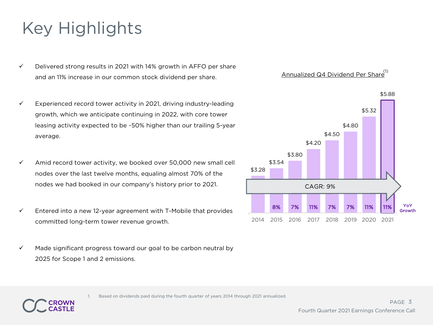## Key Highlights

- $\checkmark$  Delivered strong results in 2021 with 14% growth in AFFO per share and an 11% increase in our common stock dividend per share.
- $\checkmark$  Experienced record tower activity in 2021, driving industry-leading growth, which we anticipate continuing in 2022, with core tower leasing activity expected to be ~50% higher than our trailing 5-year average.
- $\checkmark$  Amid record tower activity, we booked over 50,000 new small cell nodes over the last twelve months, equaling almost 70% of the nodes we had booked in our company's history prior to 2021.
- $\checkmark$  Entered into a new 12-year agreement with T-Mobile that provides committed long-term tower revenue growth.
- $\checkmark$  Made significant progress toward our goal to be carbon neutral by 2025 for Scope 1 and 2 emissions.

Annualized Q4 Dividend Per Share<sup>(1)</sup>



1. Based on dividends paid during the fourth quarter of years 2014 through 2021 annualized.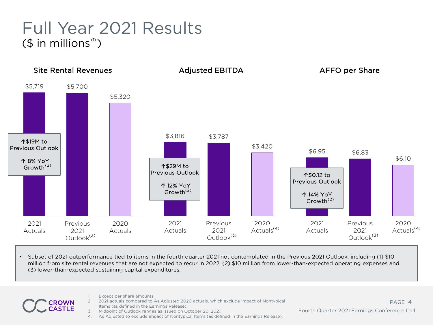#### Full Year 2021 Results  $($  \$ in millions<sup>(1)</sup>)



• Subset of 2021 outperformance tied to items in the fourth quarter 2021 not contemplated in the Previous 2021 Outlook, including (1) \$10 million from site rental revenues that are not expected to recur in 2022, (2) \$10 million from lower-than-expected operating expenses and (3) lower-than-expected sustaining capital expenditures.

- 
- Except per share amounts.
- 2. 2021 actuals compared to As Adjusted 2020 actuals, which exclude impact of Nontypical Items (as defined in the Earnings Release).
- 3. Midpoint of Outlook ranges as issued on October 20, 2021.
- 4. As Adjusted to exclude impact of Nontypical Items (as defined in the Earnings Release).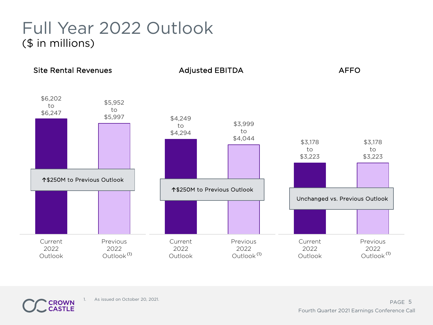#### Full Year 2022 Outlook (\$ in millions)



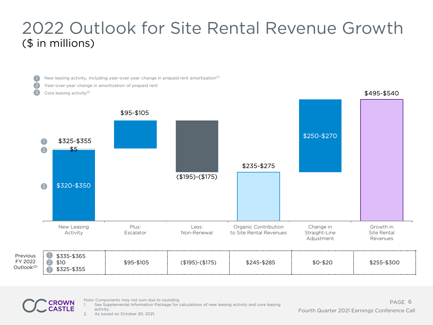#### 2022 Outlook for Site Rental Revenue Growth (\$ in millions)



Note: Components may not sum due to rounding

1. See Supplemental Information Package for calculations of new leasing activity and core leasing activity.

PAGE 6 Fourth Quarter 2021 Earnings Conference Call

2. As issued on October 20, 2021.